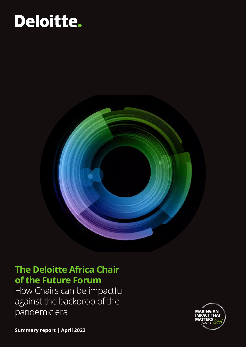# Deloitte.



### **The Deloitte Africa Chair of the Future Forum**

How Chairs can be impactful against the backdrop of the pandemic era



**Summary report | April 2022**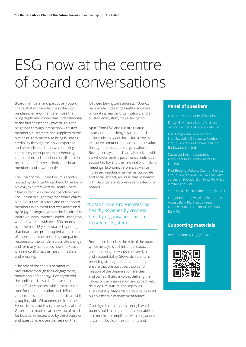## ESG now at the centre of board conversations

Board members, and particularly board chairs, that will be effective in the post pandemic environment are those that bring depth and contextual understanding to the businesses they govern. This can be gained through interaction with staff members, customers and suppliers to the business. They must also bring business credibility through their own expertise and networks and be forward looking. Lastly, they must possess authenticity, compassion and emotional intelligence in order to be effective as individual board members and as a collective.

The Chair of the Future Forum, recently hosted by Deloitte Africa Board Chair Delia Ndlovu, explored what will make Board Chairs effective in the post pandemic era. The Forum brought together board chairs, Non-Executive Directors and other board members in an event that was addressed by Dr Jay Bevington, who is the Deloitte UK Board Advisory Practice Leader. Bevington, who has worked with over 500 boards over the past 18 years, started by noting that boards are pre-occupied with a range of important issues including companies' response to the pandemic, climate change and for many companies now the Russia Ukraine conflict as the most immediate and pressing,

"The role of the chair is paramount particularly through their engagement, motivation and energy," Bevington told the audience. He said effective chairs lead effective boards, which then set the tone for the organisation and define its culture, an issue that most boards are still grappling with. What emerged from the Forum is that the Environment, Social and Governance matters are now top of minds for boards, reflected also by the discussion and questions and answer session that

followed Bevington's address. "Boards have a role in creating healthy societies by creating healthy organisations and a trusted ecosystem," says Bevington.

Apart from ESG and culture related issues, other challenges facing boards include diversity and inclusion as well s executive remuneration and remuneration through the rest of the organisation. Bevington says boards are also seized with stakeholder centric governance, individual accountability and the new reality of hybrid meetings. Economic reforms as well as increased regulation as well as corporate and social impact, an issue that resonates with Deloitte, are also key agenda items for boards.

#### "Boards have a role in creating healthy societies by creating healthy organisations and a trusted ecosystem."

Bevington describes the role of the board, which he says is still misunderstood, as encompassing stewardship, oversight and accountability. Stewardship entails providing strategic leadership to help ensure that the purpose, vision and mission of the organisation are clear and owned. It also involves defining the values of the organisation and proactively develops its culture and improves sustainability. Stewardship also helps build highly effective management teams.

Oversight is the process through which boards hold management accountable. It also monitors compliance with obligations at various levels of the company and

#### **Panel of speakers**

Delia Ndlovu, Deloitte Africa Chair

Dr Jay Bevington, Board Advisory Senior Partner, Deloitte Middle East

Neo Dongwana, Independent Non-Executive Director at Nedbank Group Limited and former Chair of Barloworld Limited

Susan du Toit, Independent Limited

Prof Bonang Mohale, Chair of Bidvest Group Limited and SBV Services. Also serves on the board of Swiss Re Africa Limited and RMB

Dr Ajoritsedere Awosika, Chairperson Access Bank Plc, Independent Non-Executive Director Access Bank Bank Plc

#### **Supporting materials**

Presentation by Dr Jay Bevington

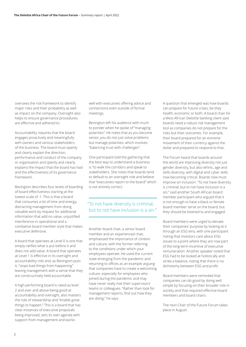oversees the risk framework to identify major risks and their probability as well as impact on the company. Oversight also helps to ensure governance procedures are effective and adhered to.

Accountability requires that the board engages proactively and meaningfully with owners and various stakeholders of the business. The board must openly and clearly explain the direction, performance and conduct of the company or organisation and openly and clearly explains the impact that the board has had and the effectiveness of its governance framework.

Bevington describes four levels of boarding of board effectiveness starting at the lowest scale of -1. This is that a board that consumes a lot of time and energy, distracting management from doing valuable work by request for additional information that add no value, unjustified interference in operational and a combative board member style that makes executive defensive.

A board that operates at Level 0 is one that simply ratifies what is put before it and does not add value. A board that operates at Level 1 is effective in its oversight and accountability role and, as Bevington puts it, "stops bad things from happening" leaving management with a sense that they are constructively held accountable.

A high performing board is rated as level 2 and over and above being good at accountability and oversight, also masters the role of stewardship and "enable great things to happen." This is a board that has clear instances of executive proposals being improved, sets its own agenda with support from management and works

well with executives offering advice and connections even outside of formal meetings.

Bevington left his audience with much to ponder when he spoke of "managing polarities". He notes that as you become senior, you do not just solve problems but manage polarities, which involves "balancing trust with challenges".

One participant told the gathering that the best way to understand a business is "to walk the corridors and speak to stakeholders. She notes that boards tend to default to an oversight role and believe that "executives report to the board" which is not entirely correct.

#### "To not have diversity is criminal, but to not have inclusion is a sin."

Another board chair, a senior board member and an experienced chair, emphasised the importance of context and culture, with the former referring to the conditions under which your employees operate. He used the current state emerging from the pandemic and returning to offices as an example arguing that companies have to create a welcoming culture, especially for employees who joined during the pandemic and may have never really met their supervisors' teams or colleagues. "Rather than look for management reports, find out how they are doing," he says.

A question that emerged was how boards can prepare for future crises, be they health, economic or both. A board chair for a West African Deloitte banking client said boards need a robust risk management tool as companies do not prepare for the risks but their outcomes. For example, their board prepared for an extreme movement of their currency against the dollar and prepared to respond to that.

The Forum heard that boards around the world are improving diversity not just gender diversity, but also ethnic, age and skills diversity, with digital and cyber skills now becoming critical. Boards now must improve on inclusion. "To not have diversity is criminal, but to not have inclusion is a sin," said another South African board member participant who argued that it is not enough to have a black or female board member serve on the board, but they should be listened to and engaged.

Board members were urged to elevate their companies' purpose by looking at it through an ESG lens, with one participant noting that investors care about ESG issues to a point where they are now part of the long-term incentive of executive remuneration. Another speaker noted that ESG had to be looked at holistically and strike a balance, noting that there is no dichotomy between ESG and profit.

Board members were reminded that companies can do good by doing well simple by focusing on their broader role in society and that required effective board members and board chairs.

The next Chair of the Future Forum takes place in August.